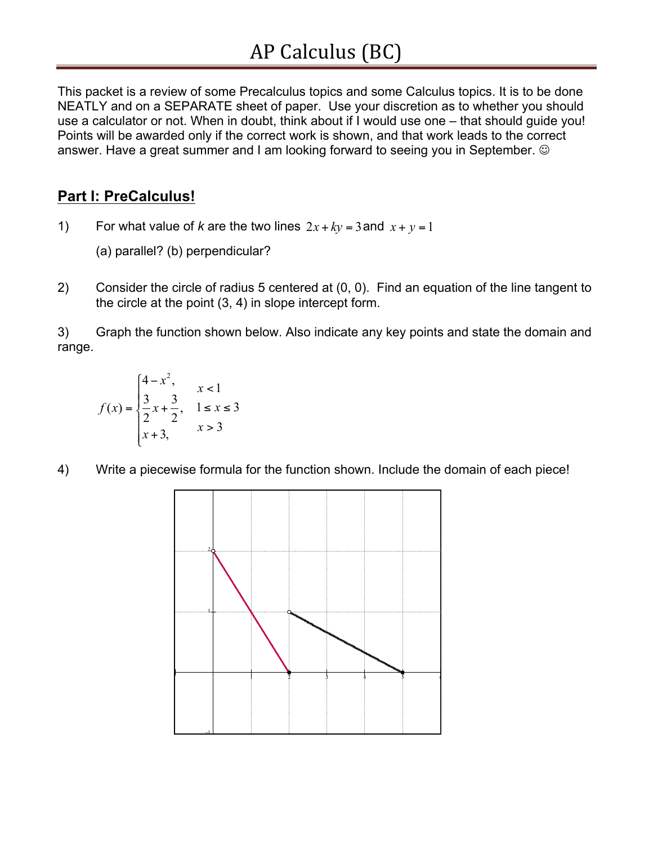This packet is a review of some Precalculus topics and some Calculus topics. It is to be done NEATLY and on a SEPARATE sheet of paper. Use your discretion as to whether you should use a calculator or not. When in doubt, think about if I would use one – that should guide you! Points will be awarded only if the correct work is shown, and that work leads to the correct answer. Have a great summer and I am looking forward to seeing you in September.  $\odot$ 

# **Part I: PreCalculus!**

- 1) For what value of *k* are the two lines  $2x + ky = 3$  and  $x + y = 1$ 
	- (a) parallel? (b) perpendicular?
- 2) Consider the circle of radius 5 centered at (0, 0). Find an equation of the line tangent to the circle at the point (3, 4) in slope intercept form.

3) Graph the function shown below. Also indicate any key points and state the domain and range.

$$
f(x) = \begin{cases} 4 - x^2, & x < 1 \\ \frac{3}{2}x + \frac{3}{2}, & 1 \le x \le 3 \\ x + 3, & x > 3 \end{cases}
$$

4) Write a piecewise formula for the function shown. Include the domain of each piece!

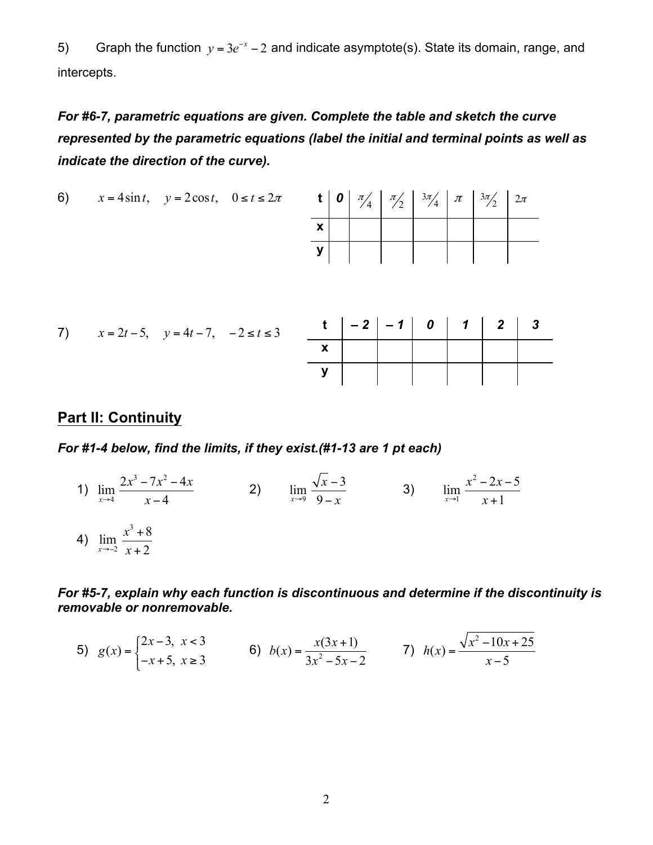5) Graph the function *y* = 3*e*<sup>−</sup>*<sup>x</sup>* − 2 and indicate asymptote(s). State its domain, range, and intercepts.

*For #6-7, parametric equations are given. Complete the table and sketch the curve represented by the parametric equations (label the initial and terminal points as well as indicate the direction of the curve).* 

6) 
$$
x = 4\sin t, \quad y = 2\cos t, \quad 0 \le t \le 2\pi
$$
 **t**  $\begin{array}{|c|c|c|c|c|} \hline \sigma & \pi \\ \hline \end{array}$ 

|  |  |  | <b>t</b>   <b>0</b>   $\pi/4$   $\pi/2$   $3\pi/4$   $\pi$   $3\pi/2$   $2\pi$ |  |
|--|--|--|--------------------------------------------------------------------------------|--|
|  |  |  |                                                                                |  |
|  |  |  |                                                                                |  |

|  | 7) $x = 2t - 5$ , $y = 4t - 7$ , $-2 \le t \le 3$ |  | $t$   -2   -1   0   1   2   3                                                                                                                                                                                                                                                                                                 |  |  |  |
|--|---------------------------------------------------|--|-------------------------------------------------------------------------------------------------------------------------------------------------------------------------------------------------------------------------------------------------------------------------------------------------------------------------------|--|--|--|
|  |                                                   |  | $\mathbf{x}$ and $\mathbf{x}$ and $\mathbf{x}$ and $\mathbf{x}$ and $\mathbf{x}$ and $\mathbf{x}$ and $\mathbf{x}$ and $\mathbf{x}$ and $\mathbf{x}$ and $\mathbf{x}$ and $\mathbf{x}$ and $\mathbf{x}$ and $\mathbf{x}$ and $\mathbf{x}$ and $\mathbf{x}$ and $\mathbf{x}$ and $\mathbf{x}$ and $\mathbf{x}$ and $\mathbf{x$ |  |  |  |
|  |                                                   |  | $\mathbf{y}$                                                                                                                                                                                                                                                                                                                  |  |  |  |

#### **Part II: Continuity**

*For #1-4 below, find the limits, if they exist.(#1-13 are 1 pt each)* 

3)  $\lim_{x \to 4} \frac{2x^3 - 7x^2 - 4x}{x - 4}$  2)  $\lim_{x \to 9} \frac{\sqrt{x - 3}}{9 - x}$  3)  $\lim_{x \to 1} \frac{x^2 - 2x - 5}{x + 1}$ 4)  $\lim_{x \to -2} \frac{x^3 + 8}{x + 2}$ 

*For #5-7, explain why each function is discontinuous and determine if the discontinuity is removable or nonremovable.* 

5) 
$$
g(x) =\begin{cases} 2x-3, & x < 3 \\ -x+5, & x \ge 3 \end{cases}
$$
 6)  $b(x) = \frac{x(3x+1)}{3x^2 - 5x - 2}$  7)  $h(x) = \frac{\sqrt{x^2 - 10x + 25}}{x - 5}$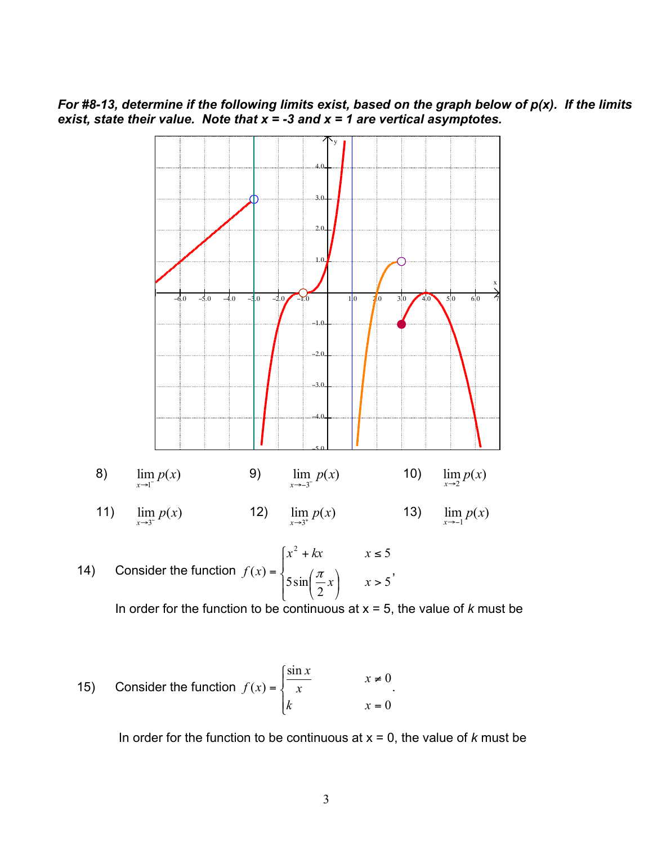For #8-13, determine if the following limits exist, based on the graph below of  $p(x)$ . If the limits exist, state their value. Note that  $x = -3$  and  $x = 1$  are vertical asymptotes.



15) Consider the function 
$$
f(x) = \begin{cases} \frac{\sin x}{x} & x \neq 0 \\ k & x = 0 \end{cases}
$$
.

In order for the function to be continuous at  $x = 0$ , the value of k must be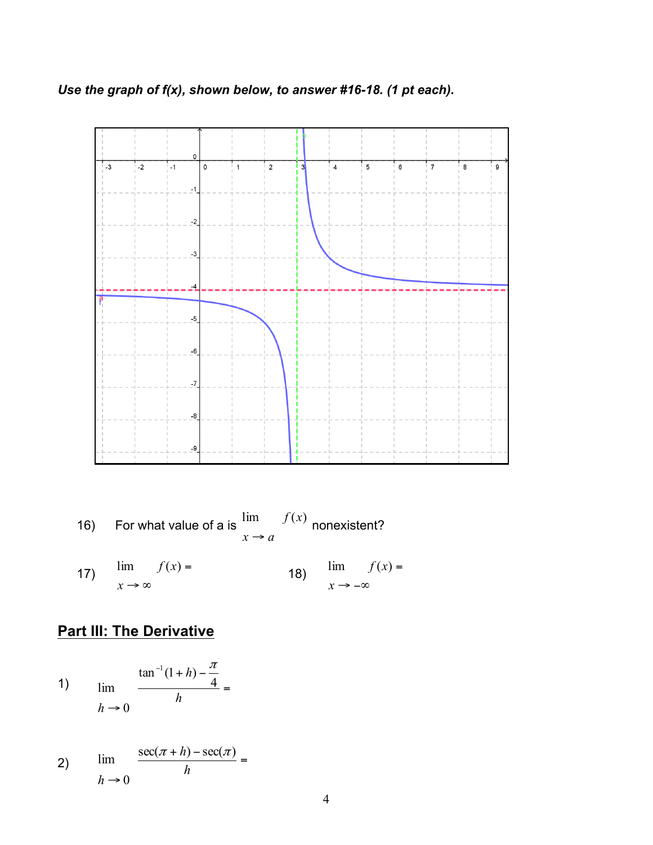Use the graph of  $f(x)$ , shown below, to answer #16-18. (1 pt each).



16) For what value of a is  $\lim_{x \to a} f(x)$  nonexistent? lim  $f(x) =$  18)  $\lim f(x) =$  $17)$  $x \rightarrow -\infty$  $x \rightarrow \infty$ 

# **Part III: The Derivative**

1) 
$$
\lim_{h \to 0} \frac{\tan^{-1}(1+h) - \frac{\pi}{4}}{h} =
$$

2) 
$$
\lim_{h \to 0} \frac{\sec(\pi + h) - \sec(\pi)}{h} =
$$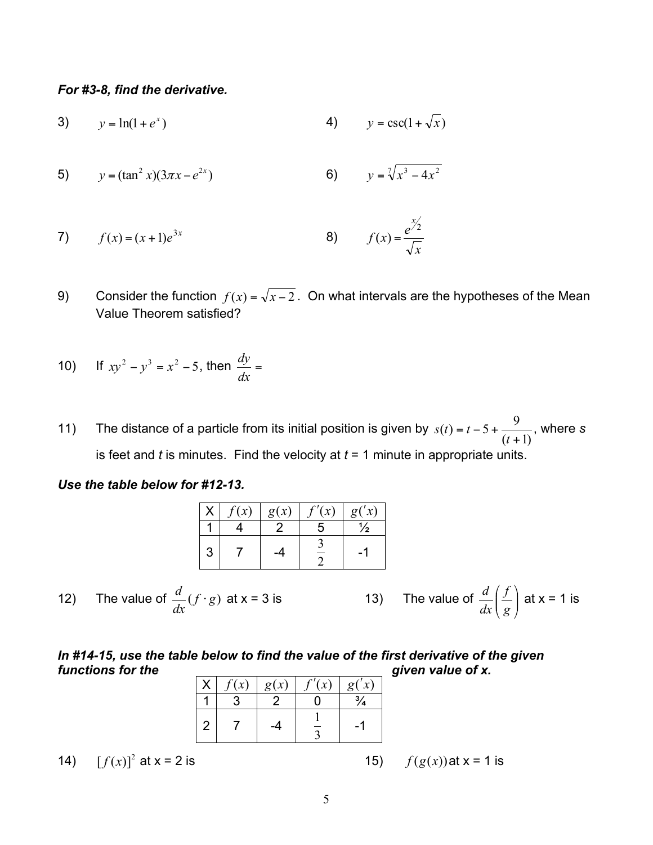*For #3-8, find the derivative.* 

- 3)  $y = ln(1 + e^x)$ 4)  $y = \csc(1 + \sqrt{x})$
- $y = \sqrt[7]{x^3 4x}$ 5)  $y = (\tan^2 x)(3\pi x - e^{2x})$

7) 
$$
f(x) = (x+1)e^{3x}
$$
   
8)  $f(x) = \frac{e^{x/2}}{\sqrt{x}}$ 

9) Consider the function  $f(x) = \sqrt{x-2}$ . On what intervals are the hypotheses of the Mean Value Theorem satisfied?

10) If 
$$
xy^2 - y^3 = x^2 - 5
$$
, then  $\frac{dy}{dx} =$ 

11) The distance of a particle from its initial position is given by  $s(t) = t - 5 + \frac{9}{(t-1)}$ , where *s*  $(t + 1)$ is feet and *t* is minutes. Find the velocity at *t* = 1 minute in appropriate units.

#### *Use the table below for #12-13.*

|   | f'(x)<br>f(x)<br>g(x) |  | g(x) |   |
|---|-----------------------|--|------|---|
|   |                       |  | 5    | ⅛ |
| 3 |                       |  |      |   |

 *d d f* 12) The value of  $\frac{d}{dx}(f \cdot g)$  at x = 3 is 13) The value of  $\frac{d}{dx}(\frac{f}{g})$  at x = 1 is ⎟ <sup>⎟</sup> *dx dx* <sup>⎠</sup>

### *In #14-15, use the table below to find the value of the first derivative of the given functions for the given value of x.*

|   | f(x) | g(x) | f'(x) | g('x) |
|---|------|------|-------|-------|
|   |      |      |       |       |
| 2 |      |      |       |       |

14) 
$$
[f(x)]^2
$$
 at x = 2 is

 $f(g(x))$ at x = 1 is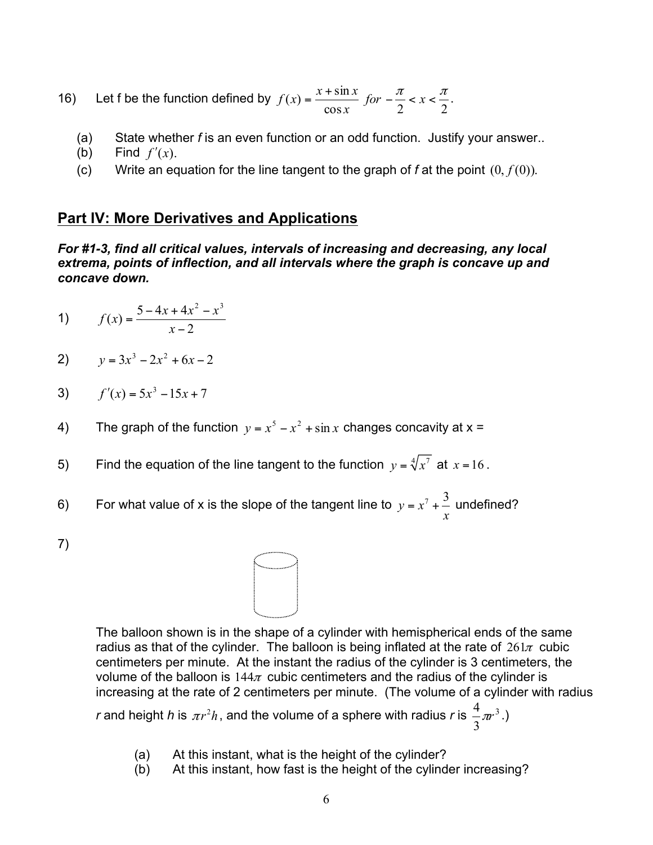**16)** Let f be the function defined by  $f(x) = \frac{x + \sin x}{\cos x}$  for  $-\frac{\pi}{2} < x < \frac{\pi}{2}$ .

- (a) State whether *f* is an even function or an odd function. Justify your answer..
- (b) Find  $f'(x)$ .
- (c) Write an equation for the line tangent to the graph of  $f$  at the point  $(0, f(0))$ .

### **Part IV: More Derivatives and Applications**

*For #1-3, find all critical values, intervals of increasing and decreasing, any local extrema, points of inflection, and all intervals where the graph is concave up and concave down.* 

1) 
$$
f(x) = \frac{5 - 4x + 4x^2 - x^3}{x - 2}
$$

$$
2) \qquad y = 3x^3 - 2x^2 + 6x - 2
$$

3) 
$$
f'(x) = 5x^3 - 15x + 7
$$

- 4) The graph of the function  $y = x^5 x^2 + \sin x$  changes concavity at  $x =$
- 5) Find the equation of the line tangent to the function  $y = \sqrt[4]{x^7}$  at  $x = 16$ .
- 6) For what value of x is the slope of the tangent line to  $y = x^7 + \frac{3}{7}$  undefined? *x*
- 7)



The balloon shown is in the shape of a cylinder with hemispherical ends of the same radius as that of the cylinder. The balloon is being inflated at the rate of  $261\pi$  cubic centimeters per minute. At the instant the radius of the cylinder is 3 centimeters, the volume of the balloon is  $144\pi$  cubic centimeters and the radius of the cylinder is increasing at the rate of 2 centimeters per minute. (The volume of a cylinder with radius *r* and height *h* is  $\pi r^2 h$ , and the volume of a sphere with radius *r* is  $\frac{4}{2}\pi r^3$ .)

(a) At this instant, what is the height of the cylinder?

(b) At this instant, how fast is the height of the cylinder increasing?